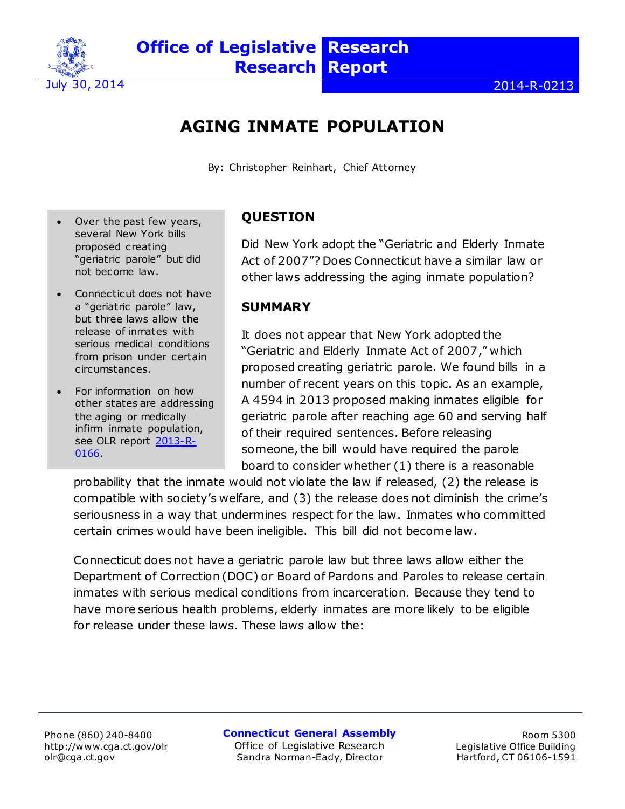

# **AGING INMATE POPULATION**

By: Christopher Reinhart, Chief Attorney

- Over the past few years, several New York bills proposed creating "geriatric parole" but did not become law.
- Connecticut does not have a "geriatric parole" law, but three laws allow the release of inmates with serious medical conditions from prison under certain circumstances.
- For information on how other states are addressing the aging or medically infirm inmate population, see OLR report [2013-R-](http://www.cga.ct.gov/2013/rpt/pdf/2013-R-0166.pdf)[0166.](http://www.cga.ct.gov/2013/rpt/pdf/2013-R-0166.pdf)

# **QUESTION**

Did New York adopt the "Geriatric and Elderly Inmate Act of 2007"? Does Connecticut have a similar law or other laws addressing the aging inmate population?

#### **SUMMARY**

It does not appear that New York adopted the "Geriatric and Elderly Inmate Act of 2007," which proposed creating geriatric parole. We found bills in a number of recent years on this topic. As an example, A 4594 in 2013 proposed making inmates eligible for geriatric parole after reaching age 60 and serving half of their required sentences. Before releasing someone, the bill would have required the parole board to consider whether (1) there is a reasonable

probability that the inmate would not violate the law if released, (2) the release is compatible with society's welfare, and (3) the release does not diminish the crime's seriousness in a way that undermines respect for the law. Inmates who committed certain crimes would have been ineligible. This bill did not become law.

Connecticut does not have a geriatric parole law but three laws allow either the Department of Correction (DOC) or Board of Pardons and Paroles to release certain inmates with serious medical conditions from incarceration. Because they tend to have more serious health problems, elderly inmates are more likely to be eligible for release under these laws. These laws allow the:

**Connecticut General Assembly** Office of Legislative Research Sandra Norman-Eady, Director

Room 5300 Legislative Office Building Hartford, CT 06106-1591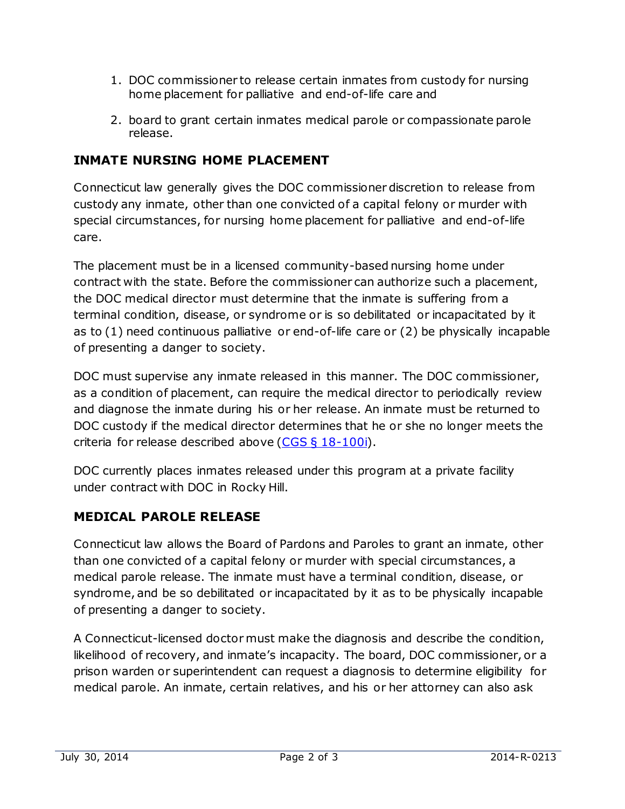- 1. DOC commissioner to release certain inmates from custody for nursing home placement for palliative and end-of-life care and
- 2. board to grant certain inmates medical parole or compassionate parole release.

## **INMATE NURSING HOME PLACEMENT**

Connecticut law generally gives the DOC commissioner discretion to release from custody any inmate, other than one convicted of a capital felony or murder with special circumstances, for nursing home placement for palliative and end-of-life care.

The placement must be in a licensed community-based nursing home under contract with the state. Before the commissioner can authorize such a placement, the DOC medical director must determine that the inmate is suffering from a terminal condition, disease, or syndrome or is so debilitated or incapacitated by it as to (1) need continuous palliative or end-of-life care or (2) be physically incapable of presenting a danger to society.

DOC must supervise any inmate released in this manner. The DOC commissioner, as a condition of placement, can require the medical director to periodically review and diagnose the inmate during his or her release. An inmate must be returned to DOC custody if the medical director determines that he or she no longer meets the criteria for release described above  $(CGS \S 18-100i)$ .

DOC currently places inmates released under this program at a private facility under contract with DOC in Rocky Hill.

#### **MEDICAL PAROLE RELEASE**

Connecticut law allows the Board of Pardons and Paroles to grant an inmate, other than one convicted of a capital felony or murder with special circumstances, a medical parole release. The inmate must have a terminal condition, disease, or syndrome, and be so debilitated or incapacitated by it as to be physically incapable of presenting a danger to society.

A Connecticut-licensed doctor must make the diagnosis and describe the condition, likelihood of recovery, and inmate's incapacity. The board, DOC commissioner, or a prison warden or superintendent can request a diagnosis to determine eligibility for medical parole. An inmate, certain relatives, and his or her attorney can also ask